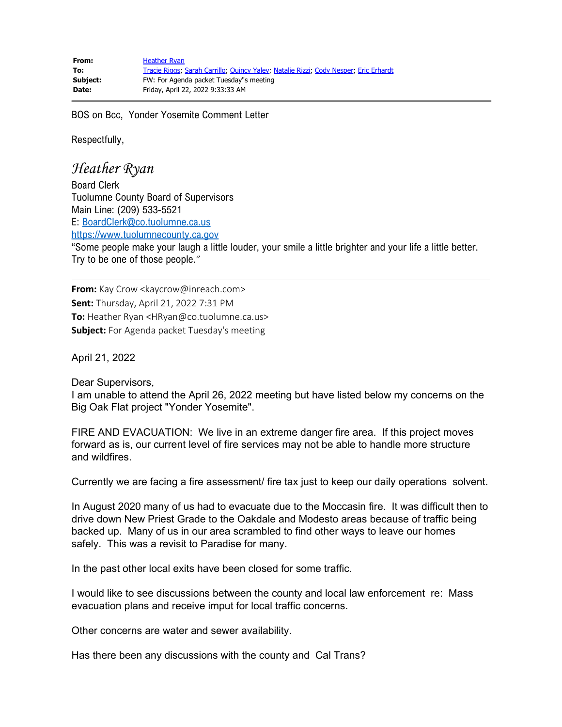BOS on Bcc, Yonder Yosemite Comment Letter

Respectfully,

*Heather Ryan*

Board Clerk Tuolumne County Board of Supervisors Main Line: (209) 533-5521 E: [BoardClerk@co.tuolumne.ca.us](mailto:BoardClerk@co.tuolumne.ca.us) [https://www.tuolumnecounty.ca.gov](https://gcc02.safelinks.protection.outlook.com/?url=https%3A%2F%2Fwww.tuolumnecounty.ca.gov%2F132%2FBoard-of-Supervisors&data=05%7C01%7CNRizzi%40co.tuolumne.ca.us%7C577cf8351d234334ed2308da247dd58d%7C37e2bf7f4bc440859e0aaeab83f13a1e%7C1%7C0%7C637862420128312562%7CUnknown%7CTWFpbGZsb3d8eyJWIjoiMC4wLjAwMDAiLCJQIjoiV2luMzIiLCJBTiI6Ik1haWwiLCJXVCI6Mn0%3D%7C3000%7C%7C%7C&sdata=P%2B9CwRIungBWt1f5s4WhZt79r3HSdC7XQtVrqxi7iTc%3D&reserved=0)

"Some people make your laugh a little louder, your smile a little brighter and your life a little better. Try to be one of those people.*"*

**From:** Kay Crow <kaycrow@inreach.com> **Sent:** Thursday, April 21, 2022 7:31 PM **To:** Heather Ryan <HRyan@co.tuolumne.ca.us> **Subject:** For Agenda packet Tuesday's meeting

April 21, 2022

Dear Supervisors,

I am unable to attend the April 26, 2022 meeting but have listed below my concerns on the Big Oak Flat project "Yonder Yosemite".

FIRE AND EVACUATION: We live in an extreme danger fire area. If this project moves forward as is, our current level of fire services may not be able to handle more structure and wildfires.

Currently we are facing a fire assessment/ fire tax just to keep our daily operations solvent.

In August 2020 many of us had to evacuate due to the Moccasin fire. It was difficult then to drive down New Priest Grade to the Oakdale and Modesto areas because of traffic being backed up. Many of us in our area scrambled to find other ways to leave our homes safely. This was a revisit to Paradise for many.

In the past other local exits have been closed for some traffic.

I would like to see discussions between the county and local law enforcement re: Mass evacuation plans and receive imput for local traffic concerns.

Other concerns are water and sewer availability.

Has there been any discussions with the county and Cal Trans?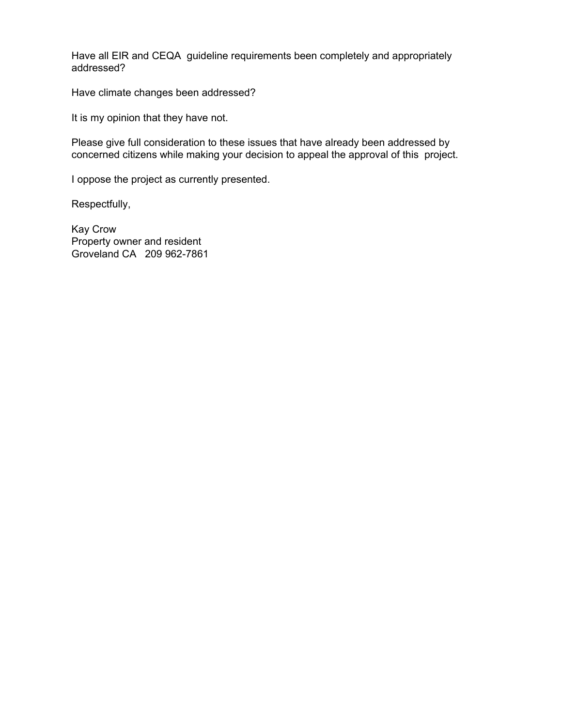Have all EIR and CEQA guideline requirements been completely and appropriately addressed?

Have climate changes been addressed?

It is my opinion that they have not.

Please give full consideration to these issues that have already been addressed by concerned citizens while making your decision to appeal the approval of this project.

I oppose the project as currently presented.

Respectfully,

Kay Crow Property owner and resident Groveland CA 209 962-7861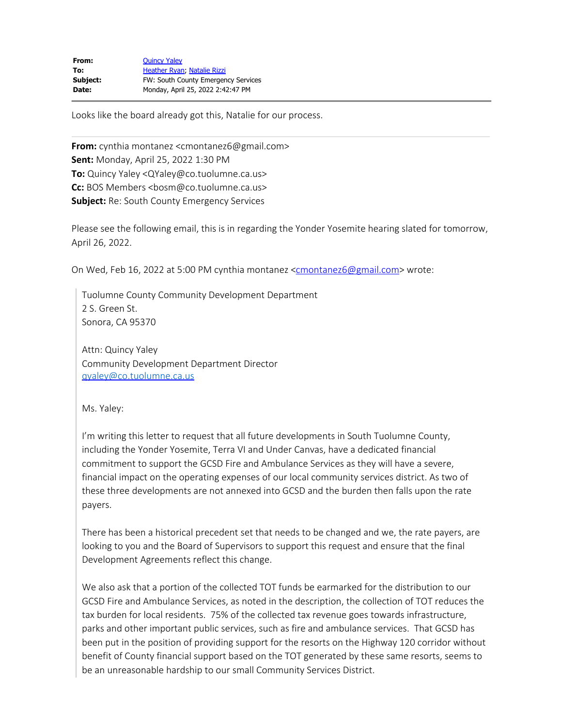| <b>Quincy Yaley</b>                        |
|--------------------------------------------|
| Heather Ryan, Natalie Rizzi                |
| <b>FW: South County Emergency Services</b> |
| Monday, April 25, 2022 2:42:47 PM          |
|                                            |

Looks like the board already got this, Natalie for our process.

**From:** cynthia montanez <cmontanez6@gmail.com> **Sent:** Monday, April 25, 2022 1:30 PM **To:** Quincy Yaley <QYaley@co.tuolumne.ca.us> **Cc:** BOS Members <bosm@co.tuolumne.ca.us> **Subject:** Re: South County Emergency Services

Please see the following email, this is in regarding the Yonder Yosemite hearing slated for tomorrow, April 26, 2022.

On Wed, Feb 16, 2022 at 5:00 PM cynthia montanez [<cmontanez6@gmail.com](mailto:cmontanez6@gmail.com)> wrote:

Tuolumne County Community Development Department 2 S. Green St. Sonora, CA 95370

Attn: Quincy Yaley Community Development Department Director [qyaley@co.tuolumne.ca.us](mailto:qyaley@co.tuolumne.ca.us)

Ms. Yaley:

I'm writing this letter to request that all future developments in South Tuolumne County, including the Yonder Yosemite, Terra VI and Under Canvas, have a dedicated financial commitment to support the GCSD Fire and Ambulance Services as they will have a severe, financial impact on the operating expenses of our local community services district. As two of these three developments are not annexed into GCSD and the burden then falls upon the rate payers.

There has been a historical precedent set that needs to be changed and we, the rate payers, are looking to you and the Board of Supervisors to support this request and ensure that the final Development Agreements reflect this change.

We also ask that a portion of the collected TOT funds be earmarked for the distribution to our GCSD Fire and Ambulance Services, as noted in the description, the collection of TOT reduces the tax burden for local residents. 75% of the collected tax revenue goes towards infrastructure, parks and other important public services, such as fire and ambulance services. That GCSD has been put in the position of providing support for the resorts on the Highway 120 corridor without benefit of County financial support based on the TOT generated by these same resorts, seems to be an unreasonable hardship to our small Community Services District.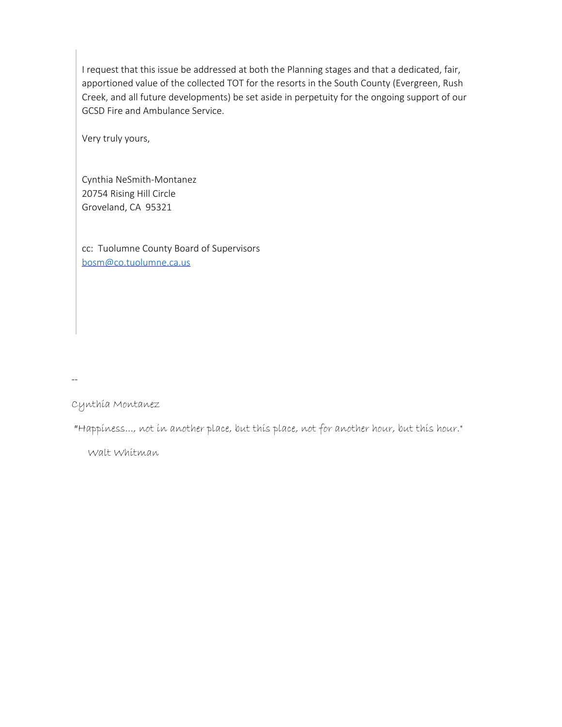I request that this issue be addressed at both the Planning stages and that a dedicated, fair, apportioned value of the collected TOT for the resorts in the South County (Evergreen, Rush Creek, and all future developments) be set aside in perpetuity for the ongoing support of our GCSD Fire and Ambulance Service.

Very truly yours,

Cynthia NeSmith-Montanez 20754 Rising Hill Circle Groveland, CA 95321

cc: Tuolumne County Board of Supervisors [bosm@co.tuolumne.ca.us](mailto:bosm@co.tuolumne.ca.us)

--

Cynthia Montanez

"Happiness..., not in another place, but this place, not for another hour, but this hour."

Walt Whitman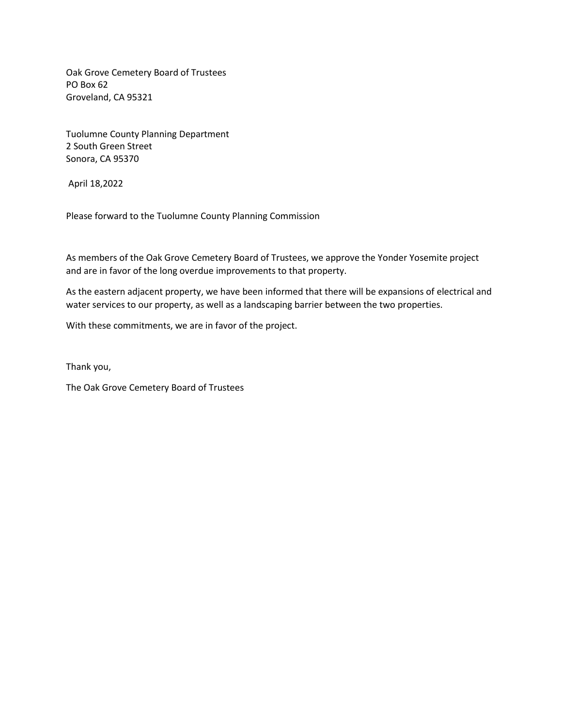Oak Grove Cemetery Board of Trustees PO Box 62 Groveland, CA 95321

Tuolumne County Planning Department 2 South Green Street Sonora, CA 95370

April 18,2022

Please forward to the Tuolumne County Planning Commission

As members of the Oak Grove Cemetery Board of Trustees, we approve the Yonder Yosemite project and are in favor of the long overdue improvements to that property.

As the eastern adjacent property, we have been informed that there will be expansions of electrical and water services to our property, as well as a landscaping barrier between the two properties.

With these commitments, we are in favor of the project.

Thank you,

The Oak Grove Cemetery Board of Trustees